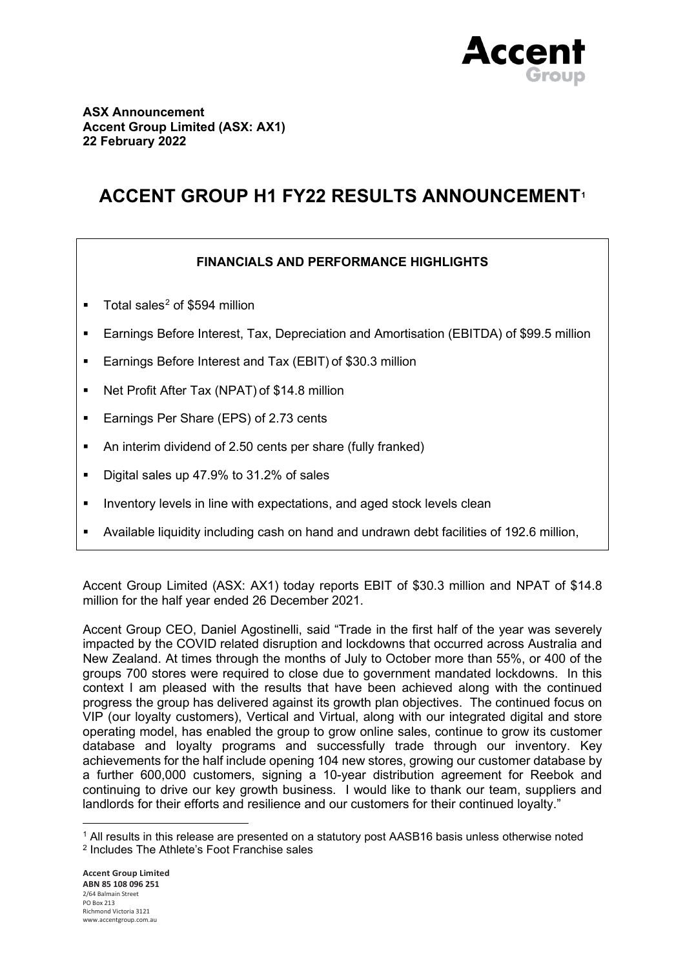

# **ACCENT GROUP H1 FY22 RESULTS ANNOUNCEMENT[1](#page-0-0)**

## **FINANCIALS AND PERFORMANCE HIGHLIGHTS**

- $\blacksquare$  Total sales<sup>[2](#page-0-1)</sup> of \$594 million
- Earnings Before Interest, Tax, Depreciation and Amortisation (EBITDA) of \$99.5 million
- Earnings Before Interest and Tax (EBIT) of \$30.3 million
- Net Profit After Tax (NPAT) of \$14.8 million
- **Earnings Per Share (EPS) of 2.73 cents**
- An interim dividend of 2.50 cents per share (fully franked)
- Digital sales up 47.9% to 31.2% of sales
- **Inventory levels in line with expectations, and aged stock levels clean**
- Available liquidity including cash on hand and undrawn debt facilities of 192.6 million,

Accent Group Limited (ASX: AX1) today reports EBIT of \$30.3 million and NPAT of \$14.8 million for the half year ended 26 December 2021.

Accent Group CEO, Daniel Agostinelli, said "Trade in the first half of the year was severely impacted by the COVID related disruption and lockdowns that occurred across Australia and New Zealand. At times through the months of July to October more than 55%, or 400 of the groups 700 stores were required to close due to government mandated lockdowns. In this context I am pleased with the results that have been achieved along with the continued progress the group has delivered against its growth plan objectives. The continued focus on VIP (our loyalty customers), Vertical and Virtual, along with our integrated digital and store operating model, has enabled the group to grow online sales, continue to grow its customer database and loyalty programs and successfully trade through our inventory. Key achievements for the half include opening 104 new stores, growing our customer database by a further 600,000 customers, signing a 10-year distribution agreement for Reebok and continuing to drive our key growth business. I would like to thank our team, suppliers and landlords for their efforts and resilience and our customers for their continued loyalty."

<span id="page-0-1"></span><span id="page-0-0"></span><sup>1</sup> All results in this release are presented on a statutory post AASB16 basis unless otherwise noted <sup>2</sup> Includes The Athlete's Foot Franchise sales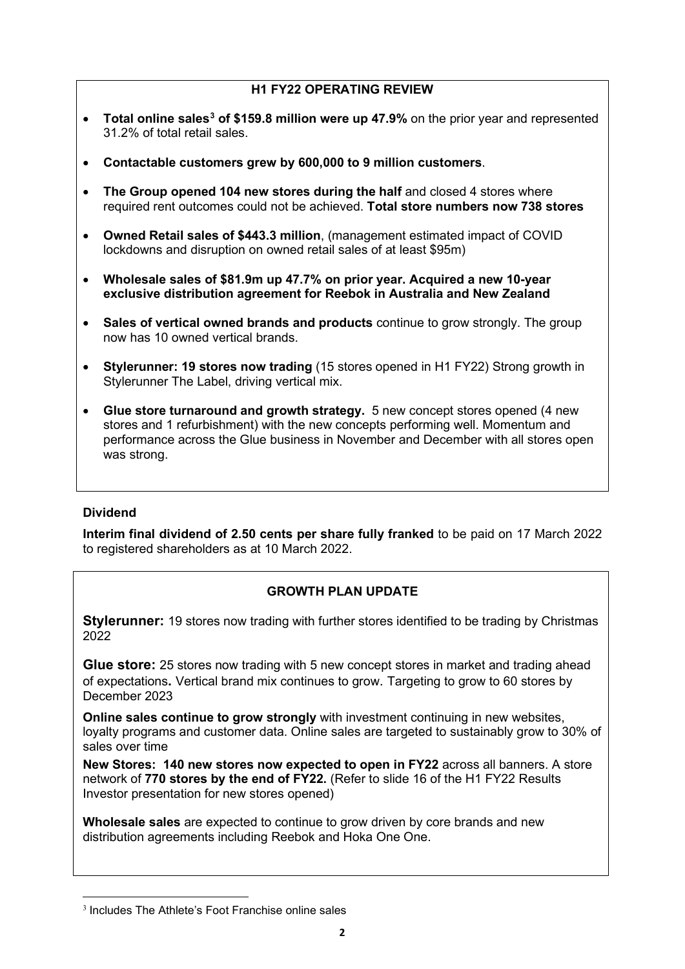### **H1 FY22 OPERATING REVIEW**

- **Total online sales[3](#page-1-0) of \$159.8 million were up 47.9%** on the prior year and represented 31.2% of total retail sales.
- **Contactable customers grew by 600,000 to 9 million customers**.
- **The Group opened 104 new stores during the half** and closed 4 stores where required rent outcomes could not be achieved. **Total store numbers now 738 stores**
- **Owned Retail sales of \$443.3 million**, (management estimated impact of COVID lockdowns and disruption on owned retail sales of at least \$95m)
- **Wholesale sales of \$81.9m up 47.7% on prior year. Acquired a new 10-year exclusive distribution agreement for Reebok in Australia and New Zealand**
- **Sales of vertical owned brands and products** continue to grow strongly. The group now has 10 owned vertical brands.
- **Stylerunner: 19 stores now trading** (15 stores opened in H1 FY22) Strong growth in Stylerunner The Label, driving vertical mix.
- **Glue store turnaround and growth strategy.** 5 new concept stores opened (4 new stores and 1 refurbishment) with the new concepts performing well. Momentum and performance across the Glue business in November and December with all stores open was strong.

# **Dividend**

**Interim final dividend of 2.50 cents per share fully franked** to be paid on 17 March 2022 to registered shareholders as at 10 March 2022.

# **GROWTH PLAN UPDATE**

**Stylerunner:** 19 stores now trading with further stores identified to be trading by Christmas 2022

**Glue store:** 25 stores now trading with 5 new concept stores in market and trading ahead of expectations**.** Vertical brand mix continues to grow. Targeting to grow to 60 stores by December 2023

**Online sales continue to grow strongly** with investment continuing in new websites, loyalty programs and customer data. Online sales are targeted to sustainably grow to 30% of sales over time

**New Stores: 140 new stores now expected to open in FY22** across all banners. A store network of **770 stores by the end of FY22.** (Refer to slide 16 of the H1 FY22 Results Investor presentation for new stores opened)

**Wholesale sales** are expected to continue to grow driven by core brands and new distribution agreements including Reebok and Hoka One One.

<span id="page-1-0"></span><sup>3</sup> Includes The Athlete's Foot Franchise online sales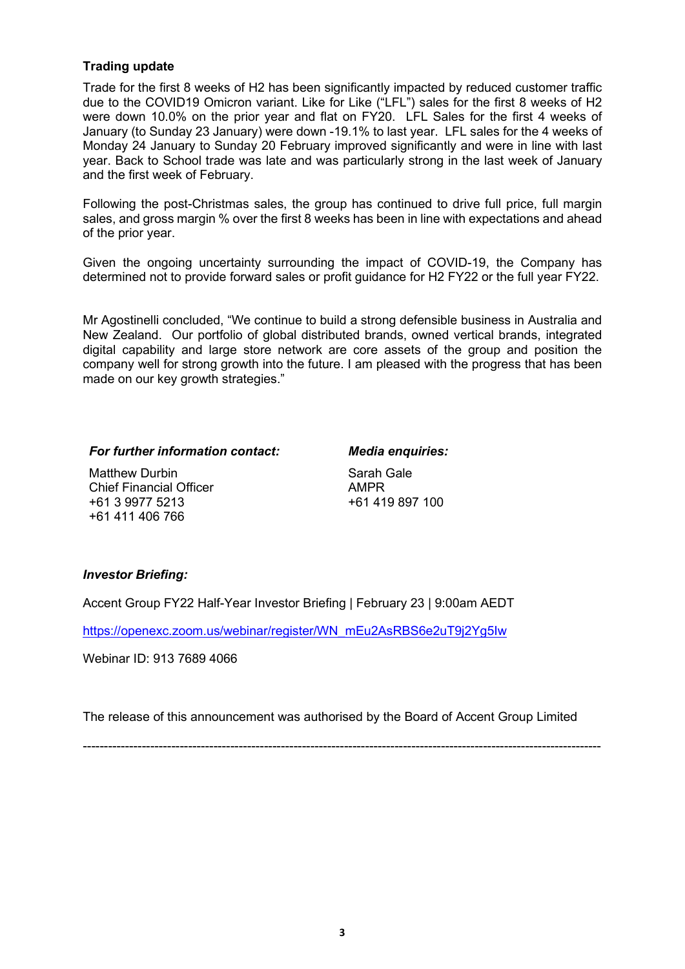#### **Trading update**

Trade for the first 8 weeks of H2 has been significantly impacted by reduced customer traffic due to the COVID19 Omicron variant. Like for Like ("LFL") sales for the first 8 weeks of H2 were down 10.0% on the prior year and flat on FY20. LFL Sales for the first 4 weeks of January (to Sunday 23 January) were down -19.1% to last year. LFL sales for the 4 weeks of Monday 24 January to Sunday 20 February improved significantly and were in line with last year. Back to School trade was late and was particularly strong in the last week of January and the first week of February.

Following the post-Christmas sales, the group has continued to drive full price, full margin sales, and gross margin % over the first 8 weeks has been in line with expectations and ahead of the prior year.

Given the ongoing uncertainty surrounding the impact of COVID-19, the Company has determined not to provide forward sales or profit guidance for H2 FY22 or the full year FY22.

Mr Agostinelli concluded, "We continue to build a strong defensible business in Australia and New Zealand. Our portfolio of global distributed brands, owned vertical brands, integrated digital capability and large store network are core assets of the group and position the company well for strong growth into the future. I am pleased with the progress that has been made on our key growth strategies."

#### *For further information contact: Media enquiries:*

Matthew Durbin Chief Financial Officer +61 3 9977 5213 +61 411 406 766

Sarah Gale AMPR +61 419 897 100

#### *Investor Briefing:*

Accent Group FY22 Half-Year Investor Briefing | February 23 | 9:00am AEDT

[https://openexc.zoom.us/webinar/register/WN\\_mEu2AsRBS6e2uT9j2Yg5Iw](https://openexc.zoom.us/webinar/register/WN_mEu2AsRBS6e2uT9j2Yg5Iw)

Webinar ID: 913 7689 4066

The release of this announcement was authorised by the Board of Accent Group Limited

---------------------------------------------------------------------------------------------------------------------------